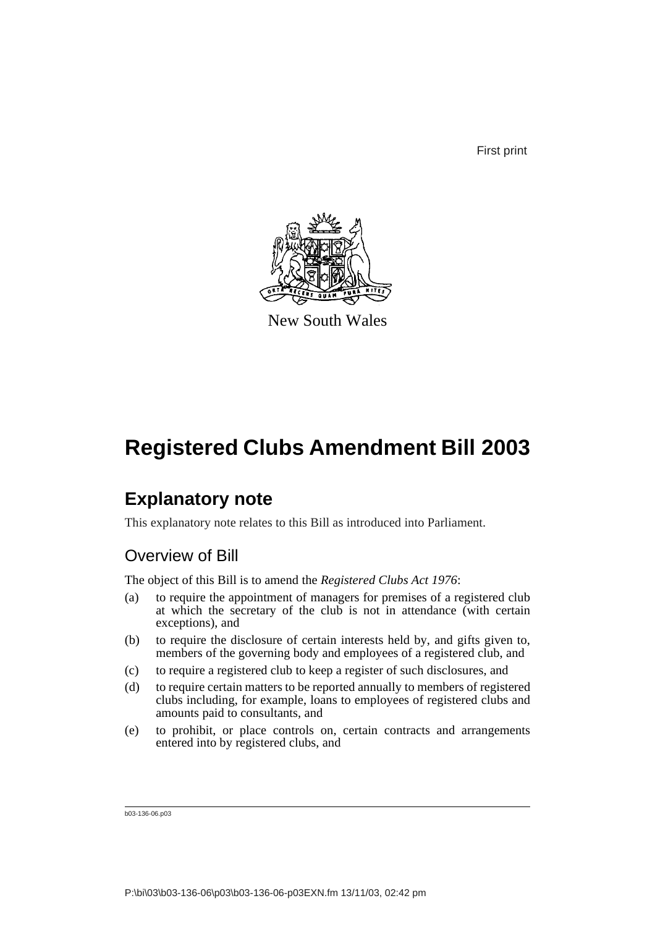First print



New South Wales

# **Registered Clubs Amendment Bill 2003**

## **Explanatory note**

This explanatory note relates to this Bill as introduced into Parliament.

## Overview of Bill

The object of this Bill is to amend the *Registered Clubs Act 1976*:

- (a) to require the appointment of managers for premises of a registered club at which the secretary of the club is not in attendance (with certain exceptions), and
- (b) to require the disclosure of certain interests held by, and gifts given to, members of the governing body and employees of a registered club, and
- (c) to require a registered club to keep a register of such disclosures, and
- (d) to require certain matters to be reported annually to members of registered clubs including, for example, loans to employees of registered clubs and amounts paid to consultants, and
- (e) to prohibit, or place controls on, certain contracts and arrangements entered into by registered clubs, and

b03-136-06.p03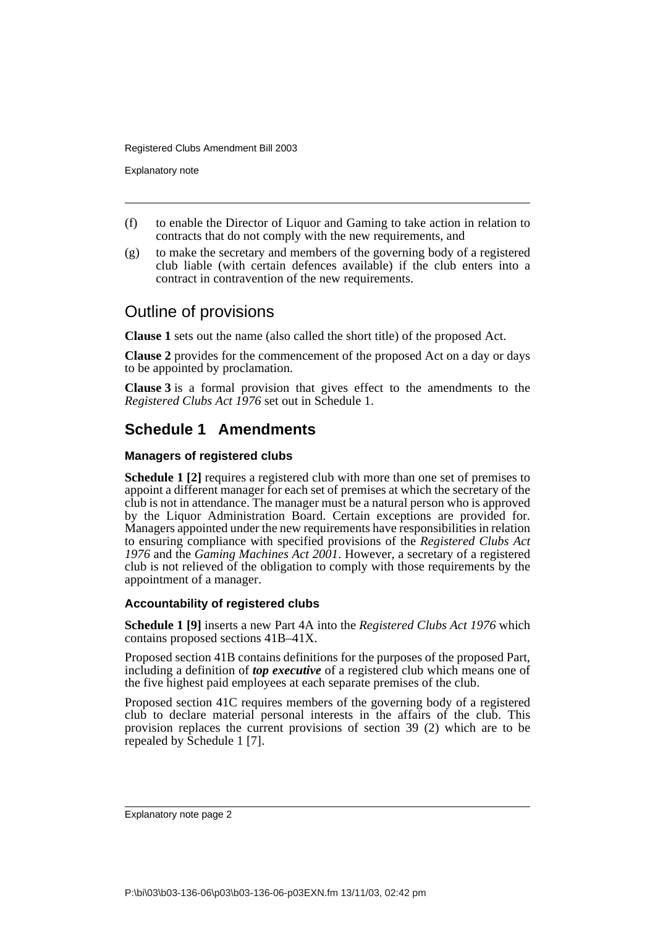Explanatory note

- (f) to enable the Director of Liquor and Gaming to take action in relation to contracts that do not comply with the new requirements, and
- (g) to make the secretary and members of the governing body of a registered club liable (with certain defences available) if the club enters into a contract in contravention of the new requirements.

## Outline of provisions

**Clause 1** sets out the name (also called the short title) of the proposed Act.

**Clause 2** provides for the commencement of the proposed Act on a day or days to be appointed by proclamation.

**Clause 3** is a formal provision that gives effect to the amendments to the *Registered Clubs Act 1976* set out in Schedule 1.

## **Schedule 1 Amendments**

## **Managers of registered clubs**

**Schedule 1 [2]** requires a registered club with more than one set of premises to appoint a different manager for each set of premises at which the secretary of the club is not in attendance. The manager must be a natural person who is approved by the Liquor Administration Board. Certain exceptions are provided for. Managers appointed under the new requirements have responsibilities in relation to ensuring compliance with specified provisions of the *Registered Clubs Act 1976* and the *Gaming Machines Act 2001*. However, a secretary of a registered club is not relieved of the obligation to comply with those requirements by the appointment of a manager.

### **Accountability of registered clubs**

**Schedule 1 [9]** inserts a new Part 4A into the *Registered Clubs Act 1976* which contains proposed sections 41B–41X.

Proposed section 41B contains definitions for the purposes of the proposed Part, including a definition of *top executive* of a registered club which means one of the five highest paid employees at each separate premises of the club.

Proposed section 41C requires members of the governing body of a registered club to declare material personal interests in the affairs of the club. This provision replaces the current provisions of section 39 (2) which are to be repealed by Schedule 1 [7].

Explanatory note page 2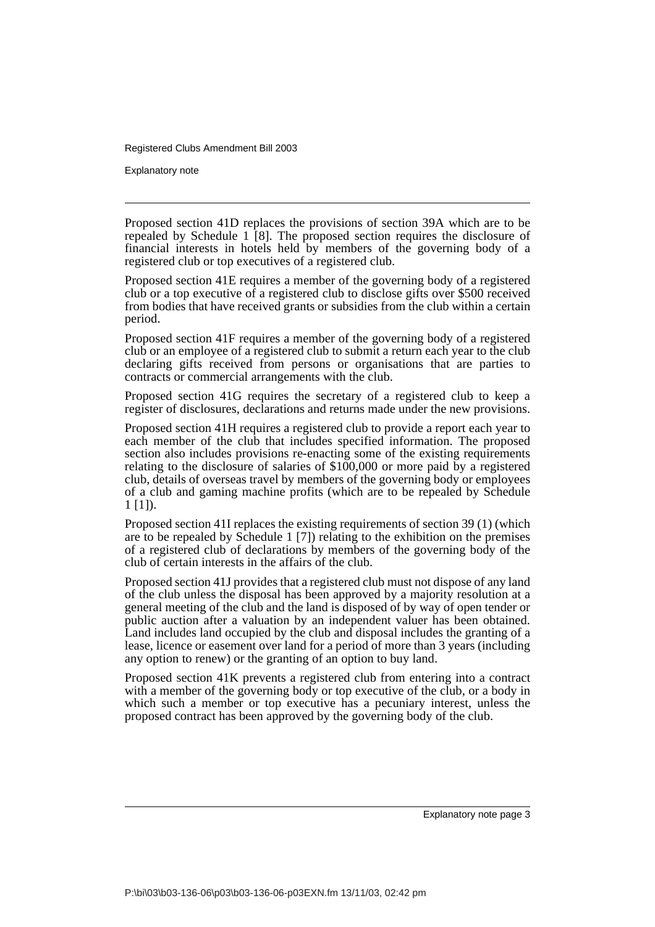Explanatory note

Proposed section 41D replaces the provisions of section 39A which are to be repealed by Schedule 1 [8]. The proposed section requires the disclosure of financial interests in hotels held by members of the governing body of a registered club or top executives of a registered club.

Proposed section 41E requires a member of the governing body of a registered club or a top executive of a registered club to disclose gifts over \$500 received from bodies that have received grants or subsidies from the club within a certain period.

Proposed section 41F requires a member of the governing body of a registered club or an employee of a registered club to submit a return each year to the club declaring gifts received from persons or organisations that are parties to contracts or commercial arrangements with the club.

Proposed section 41G requires the secretary of a registered club to keep a register of disclosures, declarations and returns made under the new provisions.

Proposed section 41H requires a registered club to provide a report each year to each member of the club that includes specified information. The proposed section also includes provisions re-enacting some of the existing requirements relating to the disclosure of salaries of \$100,000 or more paid by a registered club, details of overseas travel by members of the governing body or employees of a club and gaming machine profits (which are to be repealed by Schedule 1 [1]).

Proposed section 41I replaces the existing requirements of section 39 (1) (which are to be repealed by Schedule 1 [7]) relating to the exhibition on the premises of a registered club of declarations by members of the governing body of the club of certain interests in the affairs of the club.

Proposed section 41J provides that a registered club must not dispose of any land of the club unless the disposal has been approved by a majority resolution at a general meeting of the club and the land is disposed of by way of open tender or public auction after a valuation by an independent valuer has been obtained. Land includes land occupied by the club and disposal includes the granting of a lease, licence or easement over land for a period of more than 3 years (including any option to renew) or the granting of an option to buy land.

Proposed section 41K prevents a registered club from entering into a contract with a member of the governing body or top executive of the club, or a body in which such a member or top executive has a pecuniary interest, unless the proposed contract has been approved by the governing body of the club.

Explanatory note page 3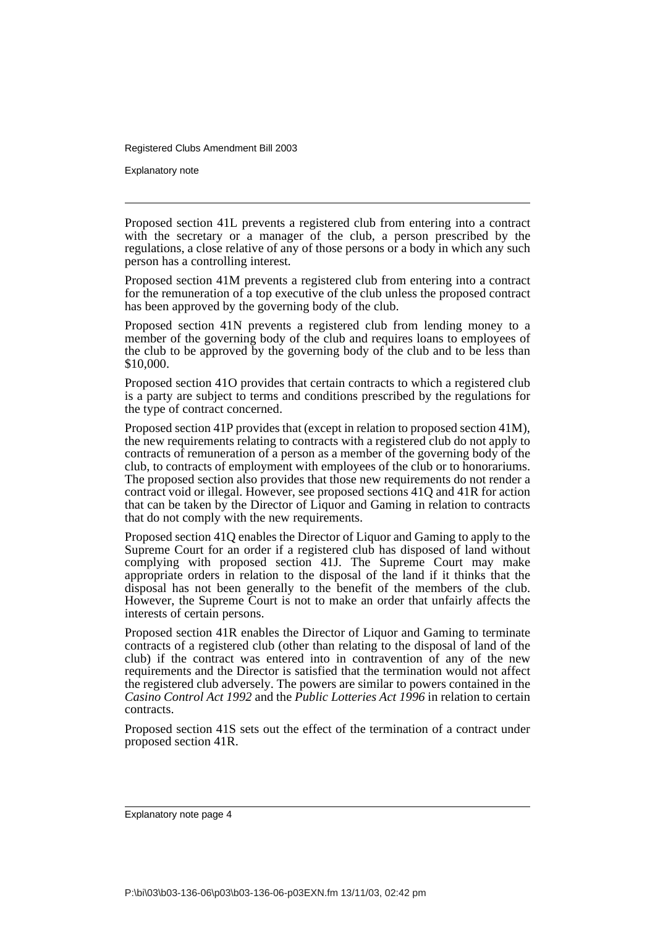Explanatory note

Proposed section 41L prevents a registered club from entering into a contract with the secretary or a manager of the club, a person prescribed by the regulations, a close relative of any of those persons or a body in which any such person has a controlling interest.

Proposed section 41M prevents a registered club from entering into a contract for the remuneration of a top executive of the club unless the proposed contract has been approved by the governing body of the club.

Proposed section 41N prevents a registered club from lending money to a member of the governing body of the club and requires loans to employees of the club to be approved by the governing body of the club and to be less than \$10,000.

Proposed section 41O provides that certain contracts to which a registered club is a party are subject to terms and conditions prescribed by the regulations for the type of contract concerned.

Proposed section 41P provides that (except in relation to proposed section 41M), the new requirements relating to contracts with a registered club do not apply to contracts of remuneration of a person as a member of the governing body of the club, to contracts of employment with employees of the club or to honorariums. The proposed section also provides that those new requirements do not render a contract void or illegal. However, see proposed sections 41Q and 41R for action that can be taken by the Director of Liquor and Gaming in relation to contracts that do not comply with the new requirements.

Proposed section 41Q enables the Director of Liquor and Gaming to apply to the Supreme Court for an order if a registered club has disposed of land without complying with proposed section 41J. The Supreme Court may make appropriate orders in relation to the disposal of the land if it thinks that the disposal has not been generally to the benefit of the members of the club. However, the Supreme Court is not to make an order that unfairly affects the interests of certain persons.

Proposed section 41R enables the Director of Liquor and Gaming to terminate contracts of a registered club (other than relating to the disposal of land of the club) if the contract was entered into in contravention of any of the new requirements and the Director is satisfied that the termination would not affect the registered club adversely. The powers are similar to powers contained in the *Casino Control Act 1992* and the *Public Lotteries Act 1996* in relation to certain contracts.

Proposed section 41S sets out the effect of the termination of a contract under proposed section 41R.

Explanatory note page 4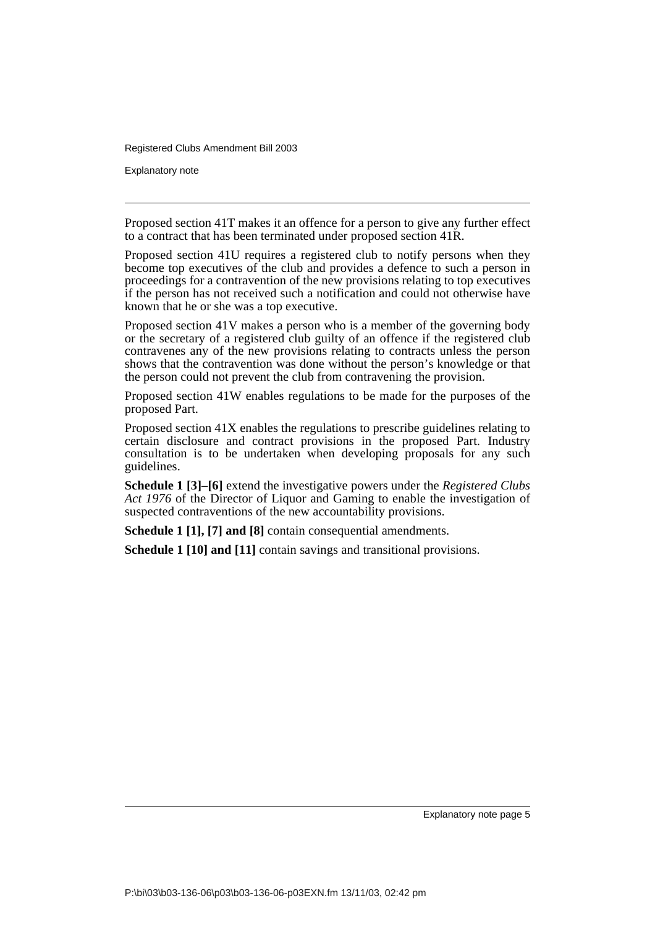Explanatory note

Proposed section 41T makes it an offence for a person to give any further effect to a contract that has been terminated under proposed section 41R.

Proposed section 41U requires a registered club to notify persons when they become top executives of the club and provides a defence to such a person in proceedings for a contravention of the new provisions relating to top executives if the person has not received such a notification and could not otherwise have known that he or she was a top executive.

Proposed section 41V makes a person who is a member of the governing body or the secretary of a registered club guilty of an offence if the registered club contravenes any of the new provisions relating to contracts unless the person shows that the contravention was done without the person's knowledge or that the person could not prevent the club from contravening the provision.

Proposed section 41W enables regulations to be made for the purposes of the proposed Part.

Proposed section 41X enables the regulations to prescribe guidelines relating to certain disclosure and contract provisions in the proposed Part. Industry consultation is to be undertaken when developing proposals for any such guidelines.

**Schedule 1 [3]–[6]** extend the investigative powers under the *Registered Clubs Act 1976* of the Director of Liquor and Gaming to enable the investigation of suspected contraventions of the new accountability provisions.

**Schedule 1 [1], [7] and [8]** contain consequential amendments.

**Schedule 1 [10] and [11]** contain savings and transitional provisions.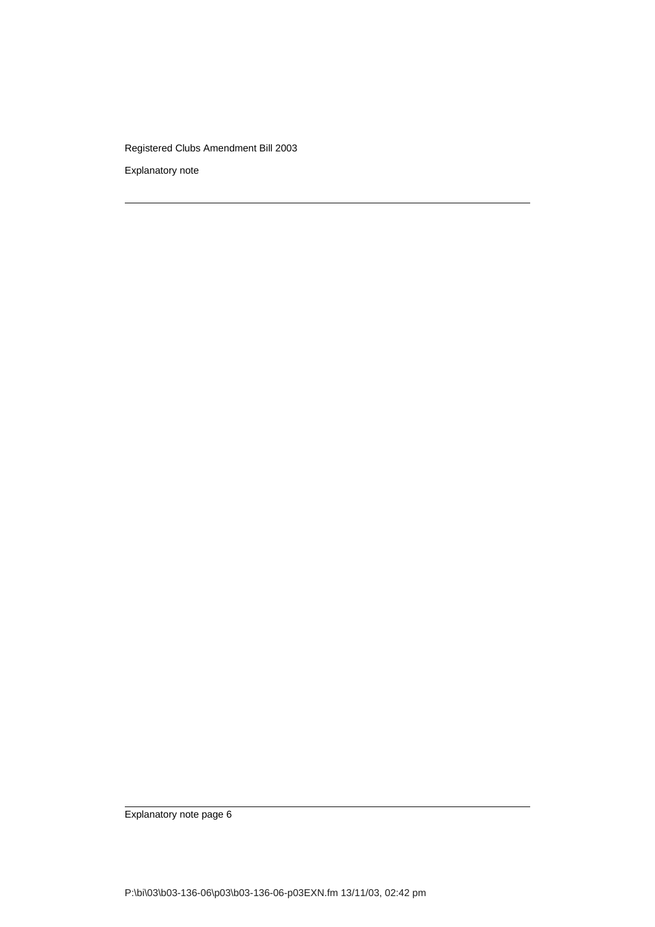Explanatory note

Explanatory note page 6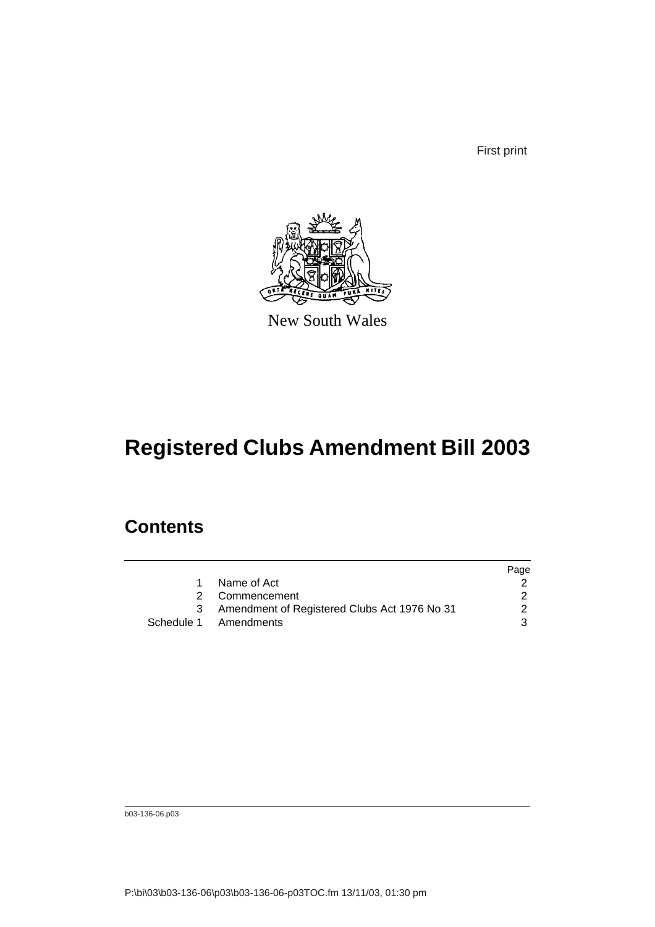First print



New South Wales

# **Registered Clubs Amendment Bill 2003**

## **Contents**

|           |                                                | Page |
|-----------|------------------------------------------------|------|
| $1 \quad$ | Name of Act                                    |      |
|           | 2 Commencement                                 |      |
|           | 3 Amendment of Registered Clubs Act 1976 No 31 | 2    |
|           | Schedule 1 Amendments                          | 3    |

b03-136-06.p03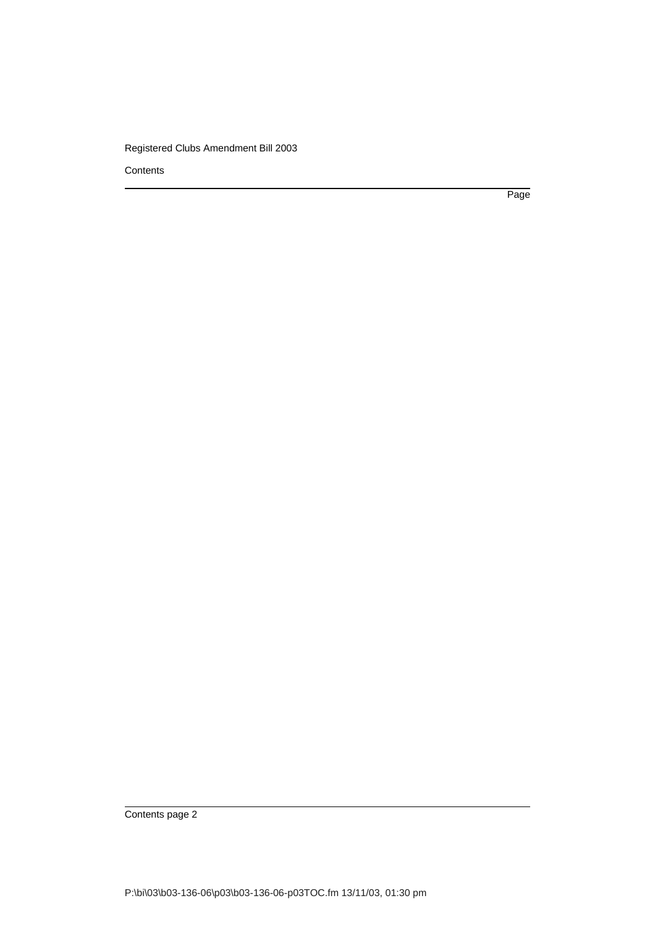**Contents** 

Page

Contents page 2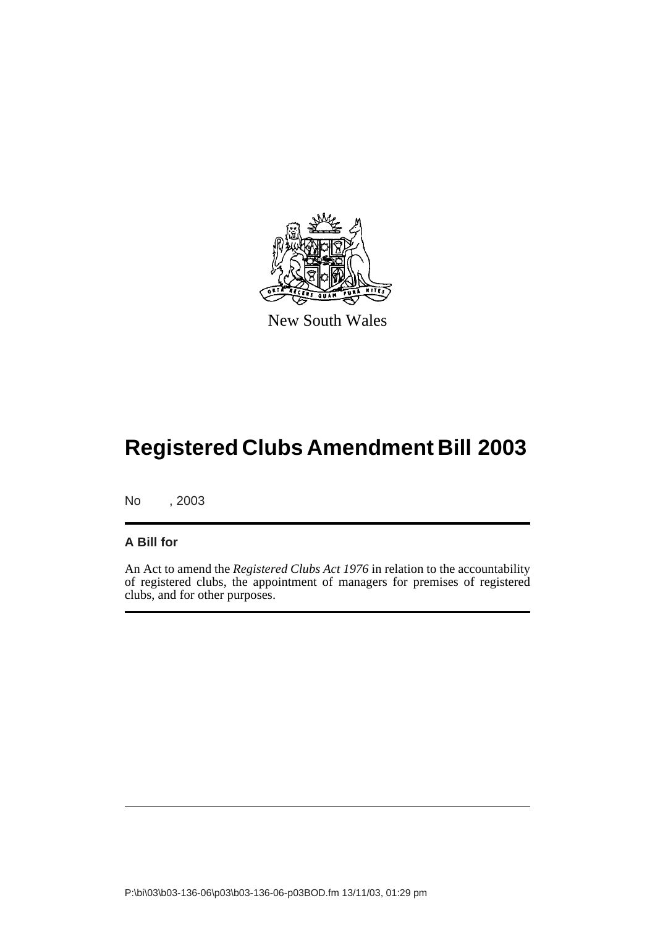

New South Wales

# **Registered Clubs Amendment Bill 2003**

No , 2003

## **A Bill for**

An Act to amend the *Registered Clubs Act 1976* in relation to the accountability of registered clubs, the appointment of managers for premises of registered clubs, and for other purposes.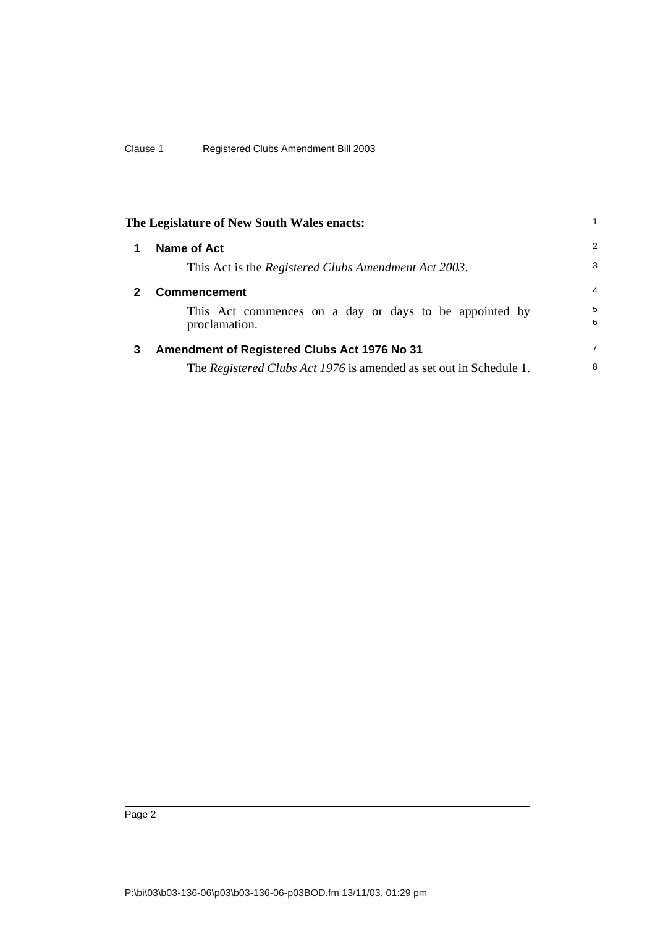<span id="page-9-2"></span><span id="page-9-1"></span><span id="page-9-0"></span>

|                | The Legislature of New South Wales enacts:                              | 1              |
|----------------|-------------------------------------------------------------------------|----------------|
|                | Name of Act                                                             | 2              |
|                | This Act is the Registered Clubs Amendment Act 2003.                    | 3              |
| $\overline{2}$ | <b>Commencement</b>                                                     | $\overline{4}$ |
|                | This Act commences on a day or days to be appointed by<br>proclamation. | 5<br>6         |
| 3              | Amendment of Registered Clubs Act 1976 No 31                            | $\overline{7}$ |
|                | The Registered Clubs Act 1976 is amended as set out in Schedule 1.      | 8              |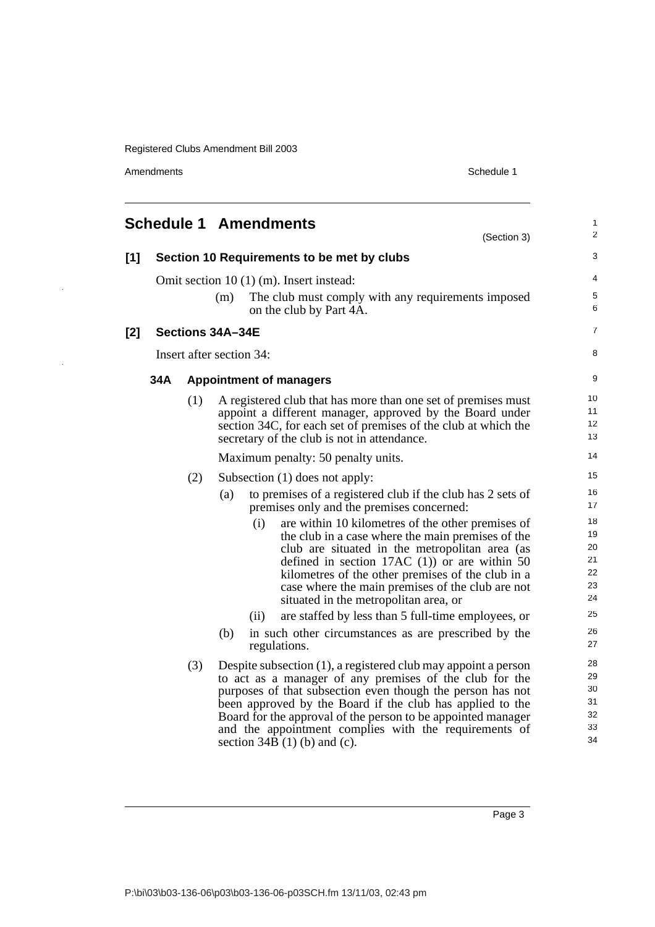Amendments Schedule 1

 $\frac{1}{2}$ 

 $\frac{1}{2}$ 

<span id="page-10-0"></span>

|     |     |     |                          |      | <b>Schedule 1 Amendments</b><br>(Section 3)                                                                                                                                                                                                                                                                                                                                                                    | 1<br>2                                 |
|-----|-----|-----|--------------------------|------|----------------------------------------------------------------------------------------------------------------------------------------------------------------------------------------------------------------------------------------------------------------------------------------------------------------------------------------------------------------------------------------------------------------|----------------------------------------|
| [1] |     |     |                          |      | Section 10 Requirements to be met by clubs                                                                                                                                                                                                                                                                                                                                                                     | 3                                      |
|     |     |     |                          |      | Omit section 10 (1) (m). Insert instead:                                                                                                                                                                                                                                                                                                                                                                       | 4                                      |
|     |     |     | (m)                      |      | The club must comply with any requirements imposed<br>on the club by Part 4A.                                                                                                                                                                                                                                                                                                                                  | 5<br>6                                 |
| [2] |     |     | Sections 34A-34E         |      |                                                                                                                                                                                                                                                                                                                                                                                                                | $\overline{7}$                         |
|     |     |     | Insert after section 34: |      |                                                                                                                                                                                                                                                                                                                                                                                                                | 8                                      |
|     | 34A |     |                          |      | <b>Appointment of managers</b>                                                                                                                                                                                                                                                                                                                                                                                 | 9                                      |
|     |     | (1) |                          |      | A registered club that has more than one set of premises must<br>appoint a different manager, approved by the Board under<br>section 34C, for each set of premises of the club at which the<br>secretary of the club is not in attendance.                                                                                                                                                                     | 10<br>11<br>12<br>13                   |
|     |     |     |                          |      | Maximum penalty: 50 penalty units.                                                                                                                                                                                                                                                                                                                                                                             | 14                                     |
|     |     | (2) |                          |      | Subsection $(1)$ does not apply:                                                                                                                                                                                                                                                                                                                                                                               | 15                                     |
|     |     |     | (a)                      |      | to premises of a registered club if the club has 2 sets of<br>premises only and the premises concerned:                                                                                                                                                                                                                                                                                                        | 16<br>17                               |
|     |     |     |                          | (i)  | are within 10 kilometres of the other premises of<br>the club in a case where the main premises of the<br>club are situated in the metropolitan area (as<br>defined in section 17AC $(1)$ or are within 50<br>kilometres of the other premises of the club in a<br>case where the main premises of the club are not<br>situated in the metropolitan area, or                                                   | 18<br>19<br>20<br>21<br>22<br>23<br>24 |
|     |     |     |                          | (ii) | are staffed by less than 5 full-time employees, or                                                                                                                                                                                                                                                                                                                                                             | 25                                     |
|     |     |     | (b)                      |      | in such other circumstances as are prescribed by the<br>regulations.                                                                                                                                                                                                                                                                                                                                           | 26<br>27                               |
|     |     | (3) |                          |      | Despite subsection (1), a registered club may appoint a person<br>to act as a manager of any premises of the club for the<br>purposes of that subsection even though the person has not<br>been approved by the Board if the club has applied to the<br>Board for the approval of the person to be appointed manager<br>and the appointment complies with the requirements of<br>section $34B(1)$ (b) and (c). | 28<br>29<br>30<br>31<br>32<br>33<br>34 |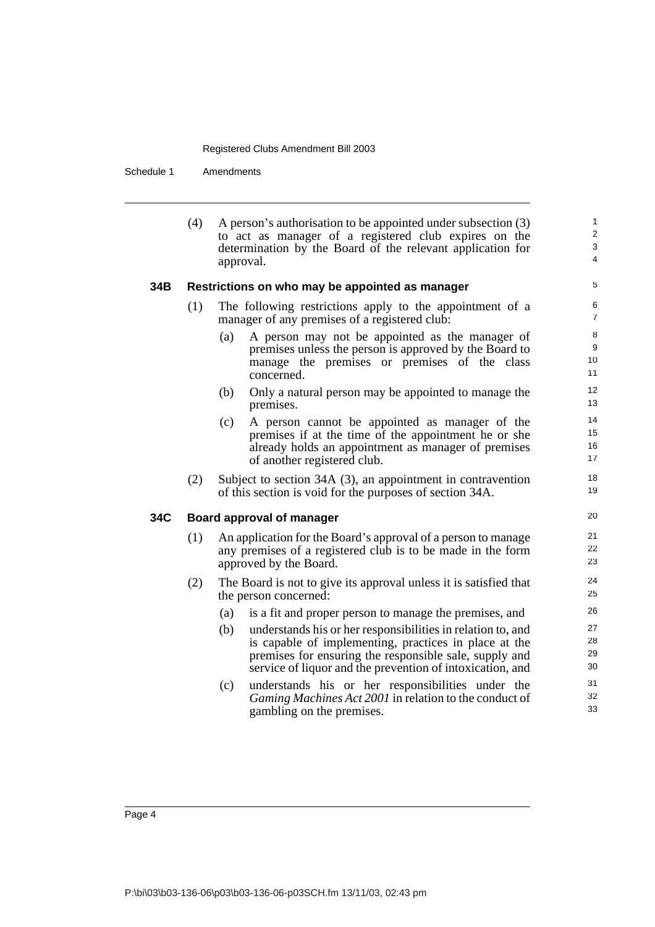Schedule 1 Amendments

|     | (4) | approval. | A person's authorisation to be appointed under subsection (3)<br>to act as manager of a registered club expires on the<br>determination by the Board of the relevant application for                                                        | 1<br>2<br>3<br>4     |
|-----|-----|-----------|---------------------------------------------------------------------------------------------------------------------------------------------------------------------------------------------------------------------------------------------|----------------------|
| 34B |     |           | Restrictions on who may be appointed as manager                                                                                                                                                                                             | 5                    |
|     | (1) |           | The following restrictions apply to the appointment of a<br>manager of any premises of a registered club:                                                                                                                                   | 6<br>$\overline{7}$  |
|     |     | (a)       | A person may not be appointed as the manager of<br>premises unless the person is approved by the Board to<br>manage the premises or premises of the class<br>concerned.                                                                     | 8<br>9<br>10<br>11   |
|     |     | (b)       | Only a natural person may be appointed to manage the<br>premises.                                                                                                                                                                           | 12<br>13             |
|     |     | (c)       | A person cannot be appointed as manager of the<br>premises if at the time of the appointment he or she<br>already holds an appointment as manager of premises<br>of another registered club.                                                | 14<br>15<br>16<br>17 |
|     | (2) |           | Subject to section 34A (3), an appointment in contravention<br>of this section is void for the purposes of section 34A.                                                                                                                     | 18<br>19             |
| 34C |     |           | Board approval of manager                                                                                                                                                                                                                   | 20                   |
|     | (1) |           | An application for the Board's approval of a person to manage<br>any premises of a registered club is to be made in the form<br>approved by the Board.                                                                                      | 21<br>22<br>23       |
|     | (2) |           | The Board is not to give its approval unless it is satisfied that<br>the person concerned:                                                                                                                                                  | 24<br>25             |
|     |     | (a)       | is a fit and proper person to manage the premises, and                                                                                                                                                                                      | 26                   |
|     |     | (b)       | understands his or her responsibilities in relation to, and<br>is capable of implementing, practices in place at the<br>premises for ensuring the responsible sale, supply and<br>service of liquor and the prevention of intoxication, and | 27<br>28<br>29<br>30 |
|     |     | (c)       | understands his or her responsibilities under the<br>Gaming Machines Act 2001 in relation to the conduct of<br>gambling on the premises.                                                                                                    | 31<br>32<br>33       |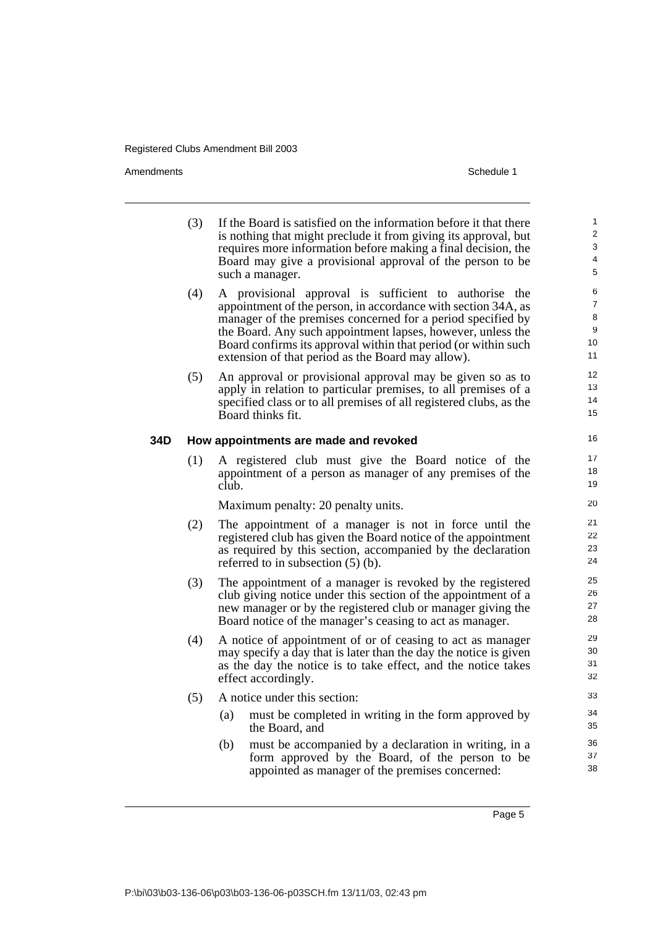Amendments **Amendments** Schedule 1

| (3) | If the Board is satisfied on the information before it that there<br>is nothing that might preclude it from giving its approval, but<br>requires more information before making a final decision, the<br>Board may give a provisional approval of the person to be<br>such a manager. |
|-----|---------------------------------------------------------------------------------------------------------------------------------------------------------------------------------------------------------------------------------------------------------------------------------------|
| (4) | A provisional approval is sufficient to authorise the                                                                                                                                                                                                                                 |
|     | appointment of the person in accordance with section $34A$ as                                                                                                                                                                                                                         |

- appointment of the person, in accordance with section 34A, as manager of the premises concerned for a period specified by the Board. Any such appointment lapses, however, unless the Board confirms its approval within that period (or within such extension of that period as the Board may allow).
- (5) An approval or provisional approval may be given so as to apply in relation to particular premises, to all premises of a specified class or to all premises of all registered clubs, as the Board thinks fit.

#### **34D How appointments are made and revoked**

(1) A registered club must give the Board notice of the appointment of a person as manager of any premises of the club.

Maximum penalty: 20 penalty units.

- (2) The appointment of a manager is not in force until the registered club has given the Board notice of the appointment as required by this section, accompanied by the declaration referred to in subsection (5) (b).
- (3) The appointment of a manager is revoked by the registered club giving notice under this section of the appointment of a new manager or by the registered club or manager giving the Board notice of the manager's ceasing to act as manager.
- (4) A notice of appointment of or of ceasing to act as manager may specify a day that is later than the day the notice is given as the day the notice is to take effect, and the notice takes effect accordingly.
- (5) A notice under this section:
	- (a) must be completed in writing in the form approved by the Board, and
	- (b) must be accompanied by a declaration in writing, in a form approved by the Board, of the person to be appointed as manager of the premises concerned: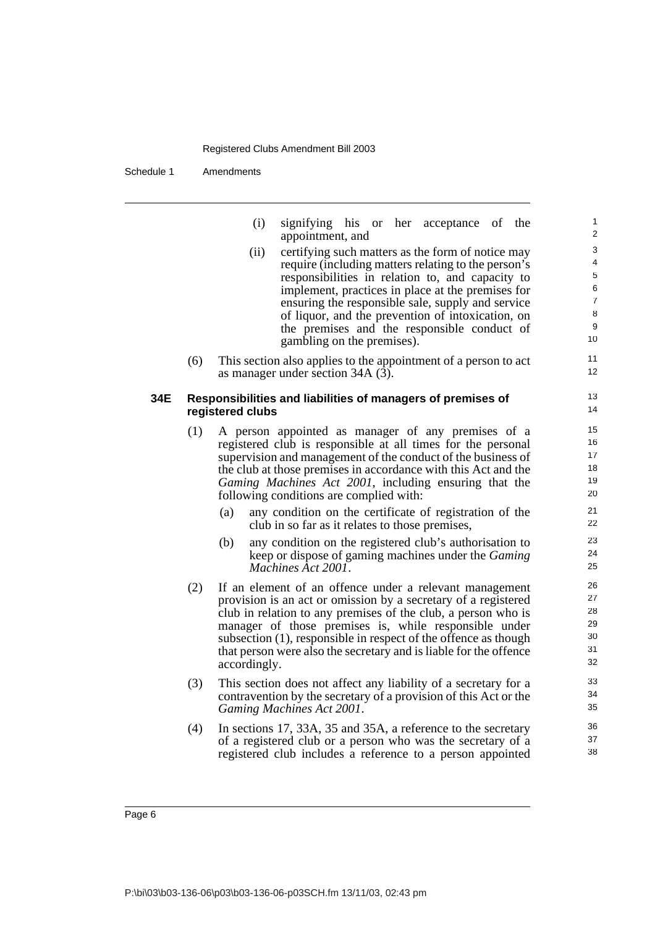Schedule 1 Amendments

|      | (i) signifying his or her acceptance of the                                                              |
|------|----------------------------------------------------------------------------------------------------------|
|      | appointment, and                                                                                         |
| (ii) | certifying such matters as the form of notice may<br>require (including matters relating to the person's |

- require (including matters relating to the person's responsibilities in relation to, and capacity to implement, practices in place at the premises for ensuring the responsible sale, supply and service of liquor, and the prevention of intoxication, on the premises and the responsible conduct of gambling on the premises).
- (6) This section also applies to the appointment of a person to act as manager under section 34A (3).

#### **34E Responsibilities and liabilities of managers of premises of registered clubs**

- (1) A person appointed as manager of any premises of a registered club is responsible at all times for the personal supervision and management of the conduct of the business of the club at those premises in accordance with this Act and the *Gaming Machines Act 2001*, including ensuring that the following conditions are complied with:
	- (a) any condition on the certificate of registration of the club in so far as it relates to those premises,
	- (b) any condition on the registered club's authorisation to keep or dispose of gaming machines under the *Gaming Machines Act 2001*.
- (2) If an element of an offence under a relevant management provision is an act or omission by a secretary of a registered club in relation to any premises of the club, a person who is manager of those premises is, while responsible under subsection (1), responsible in respect of the offence as though that person were also the secretary and is liable for the offence accordingly.
- (3) This section does not affect any liability of a secretary for a contravention by the secretary of a provision of this Act or the *Gaming Machines Act 2001*.
- (4) In sections 17, 33A, 35 and 35A, a reference to the secretary of a registered club or a person who was the secretary of a registered club includes a reference to a person appointed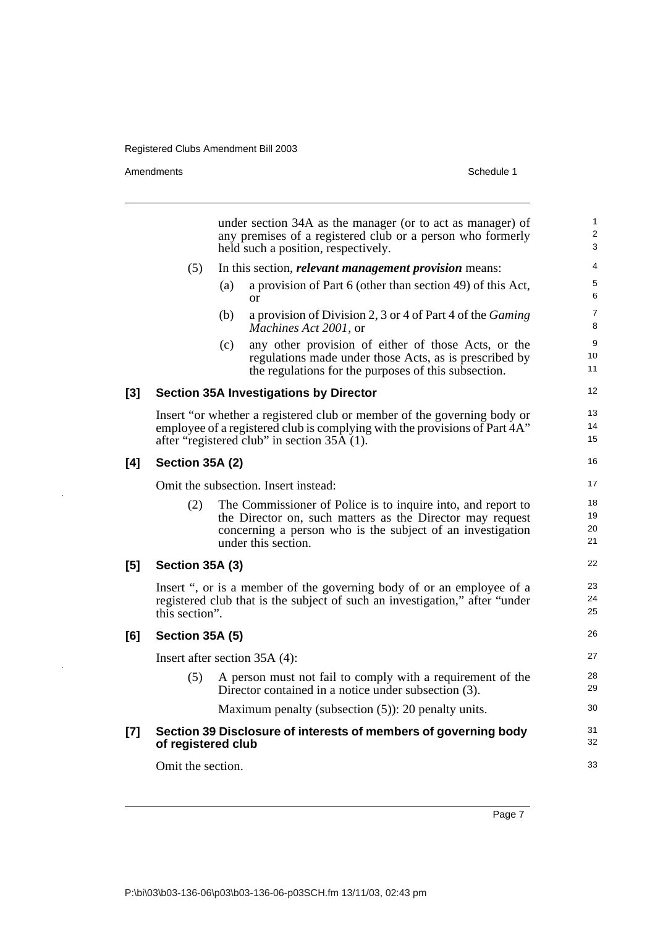Amendments Schedule 1

l,

i.

|     |                        |     | under section 34A as the manager (or to act as manager) of<br>any premises of a registered club or a person who formerly<br>held such a position, respectively.                                                | $\mathbf 1$<br>$\overline{\mathbf{c}}$<br>3 |  |  |
|-----|------------------------|-----|----------------------------------------------------------------------------------------------------------------------------------------------------------------------------------------------------------------|---------------------------------------------|--|--|
|     | (5)                    |     | In this section, <i>relevant management provision</i> means:                                                                                                                                                   | 4                                           |  |  |
|     |                        | (a) | a provision of Part 6 (other than section 49) of this Act,<br><sub>or</sub>                                                                                                                                    | 5<br>6                                      |  |  |
|     |                        | (b) | a provision of Division 2, 3 or 4 of Part 4 of the <i>Gaming</i><br>Machines Act 2001, or                                                                                                                      | 7<br>8                                      |  |  |
|     |                        | (c) | any other provision of either of those Acts, or the<br>regulations made under those Acts, as is prescribed by<br>the regulations for the purposes of this subsection.                                          | 9<br>10<br>11                               |  |  |
| [3] |                        |     | <b>Section 35A Investigations by Director</b>                                                                                                                                                                  | 12                                          |  |  |
|     |                        |     | Insert "or whether a registered club or member of the governing body or<br>employee of a registered club is complying with the provisions of Part 4A"<br>after "registered club" in section 35A (1).           | 13<br>14<br>15                              |  |  |
| [4] | Section 35A (2)        |     |                                                                                                                                                                                                                | 16                                          |  |  |
|     |                        |     | Omit the subsection. Insert instead:                                                                                                                                                                           | 17                                          |  |  |
|     | (2)                    |     | The Commissioner of Police is to inquire into, and report to<br>the Director on, such matters as the Director may request<br>concerning a person who is the subject of an investigation<br>under this section. | 18<br>19<br>20<br>21                        |  |  |
| [5] | Section 35A (3)        |     |                                                                                                                                                                                                                | 22                                          |  |  |
|     | this section".         |     | Insert ", or is a member of the governing body of or an employee of a<br>registered club that is the subject of such an investigation," after "under                                                           | 23<br>24<br>25                              |  |  |
| [6] | <b>Section 35A (5)</b> |     |                                                                                                                                                                                                                | 26                                          |  |  |
|     |                        |     | Insert after section 35A (4):                                                                                                                                                                                  | 27                                          |  |  |
|     | (5)                    |     | A person must not fail to comply with a requirement of the<br>Director contained in a notice under subsection (3).                                                                                             | 28<br>29                                    |  |  |
|     |                        |     | Maximum penalty (subsection $(5)$ ): 20 penalty units.                                                                                                                                                         | 30                                          |  |  |
| [7] | of registered club     |     | Section 39 Disclosure of interests of members of governing body                                                                                                                                                | 31<br>32                                    |  |  |
|     | Omit the section.      |     |                                                                                                                                                                                                                | 33                                          |  |  |
|     |                        |     |                                                                                                                                                                                                                |                                             |  |  |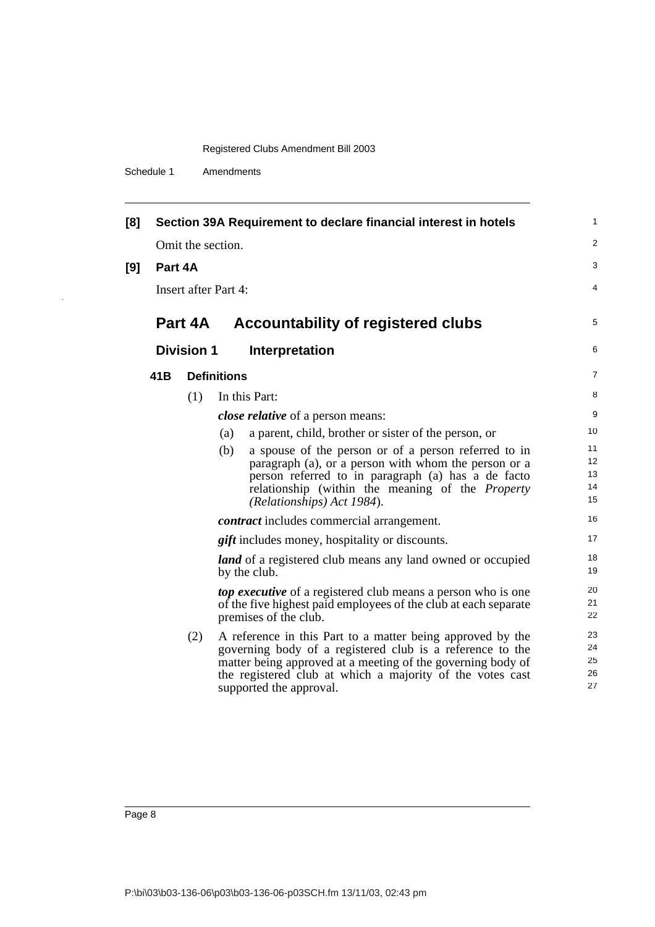Schedule 1 Amendments

| [8] |         |                   | Section 39A Requirement to declare financial interest in hotels                                                          | $\mathbf{1}$   |
|-----|---------|-------------------|--------------------------------------------------------------------------------------------------------------------------|----------------|
|     |         | Omit the section. |                                                                                                                          | 2              |
| [9] | Part 4A |                   |                                                                                                                          | 3              |
|     |         |                   | Insert after Part 4:                                                                                                     | 4              |
|     |         | Part 4A           | Accountability of registered clubs                                                                                       | 5              |
|     |         | <b>Division 1</b> | Interpretation                                                                                                           | 6              |
|     | 41 B    |                   | <b>Definitions</b>                                                                                                       | $\overline{7}$ |
|     |         | (1)               | In this Part:                                                                                                            | 8              |
|     |         |                   | <i>close relative</i> of a person means:                                                                                 | 9              |
|     |         |                   | a parent, child, brother or sister of the person, or<br>(a)                                                              | 10             |
|     |         |                   | a spouse of the person or of a person referred to in<br>(b)                                                              | 11             |
|     |         |                   | paragraph (a), or a person with whom the person or a                                                                     | 12             |
|     |         |                   | person referred to in paragraph (a) has a de facto                                                                       | 13<br>14       |
|     |         |                   | relationship (within the meaning of the <i>Property</i><br>(Relationships) Act 1984).                                    | 15             |
|     |         |                   | contract includes commercial arrangement.                                                                                | 16             |
|     |         |                   | <i>gift</i> includes money, hospitality or discounts.                                                                    | 17             |
|     |         |                   | <i>land</i> of a registered club means any land owned or occupied<br>by the club.                                        | 18<br>19       |
|     |         |                   | top executive of a registered club means a person who is one                                                             | 20             |
|     |         |                   | of the five highest paid employees of the club at each separate<br>premises of the club.                                 | 21<br>22       |
|     |         | (2)               | A reference in this Part to a matter being approved by the                                                               | 23             |
|     |         |                   | governing body of a registered club is a reference to the                                                                | 24<br>25       |
|     |         |                   | matter being approved at a meeting of the governing body of<br>the registered club at which a majority of the votes cast | 26             |
|     |         |                   | supported the approval.                                                                                                  | 27             |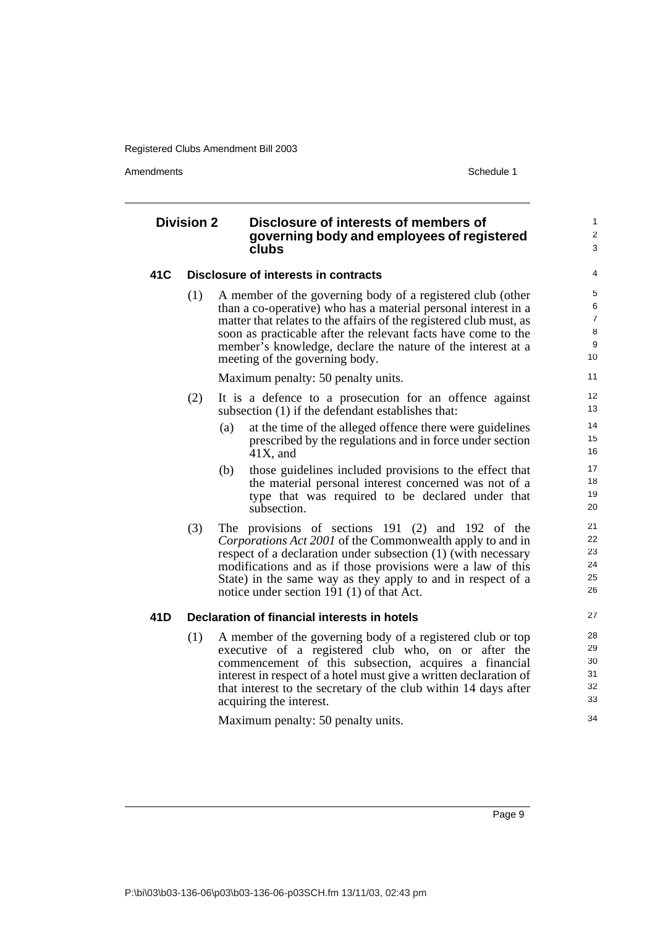Amendments **Amendments** Schedule 1

1 2 3

## **Division 2 Disclosure of interests of members of governing body and employees of registered clubs**

#### **41C Disclosure of interests in contracts**

(1) A member of the governing body of a registered club (other than a co-operative) who has a material personal interest in a matter that relates to the affairs of the registered club must, as soon as practicable after the relevant facts have come to the member's knowledge, declare the nature of the interest at a meeting of the governing body.

Maximum penalty: 50 penalty units.

- (2) It is a defence to a prosecution for an offence against subsection (1) if the defendant establishes that:
	- (a) at the time of the alleged offence there were guidelines prescribed by the regulations and in force under section 41X, and
	- (b) those guidelines included provisions to the effect that the material personal interest concerned was not of a type that was required to be declared under that subsection.
- (3) The provisions of sections 191 (2) and 192 of the *Corporations Act 2001* of the Commonwealth apply to and in respect of a declaration under subsection (1) (with necessary modifications and as if those provisions were a law of this State) in the same way as they apply to and in respect of a notice under section 191 (1) of that Act.

### **41D Declaration of financial interests in hotels**

(1) A member of the governing body of a registered club or top executive of a registered club who, on or after the commencement of this subsection, acquires a financial interest in respect of a hotel must give a written declaration of that interest to the secretary of the club within 14 days after acquiring the interest.

Maximum penalty: 50 penalty units.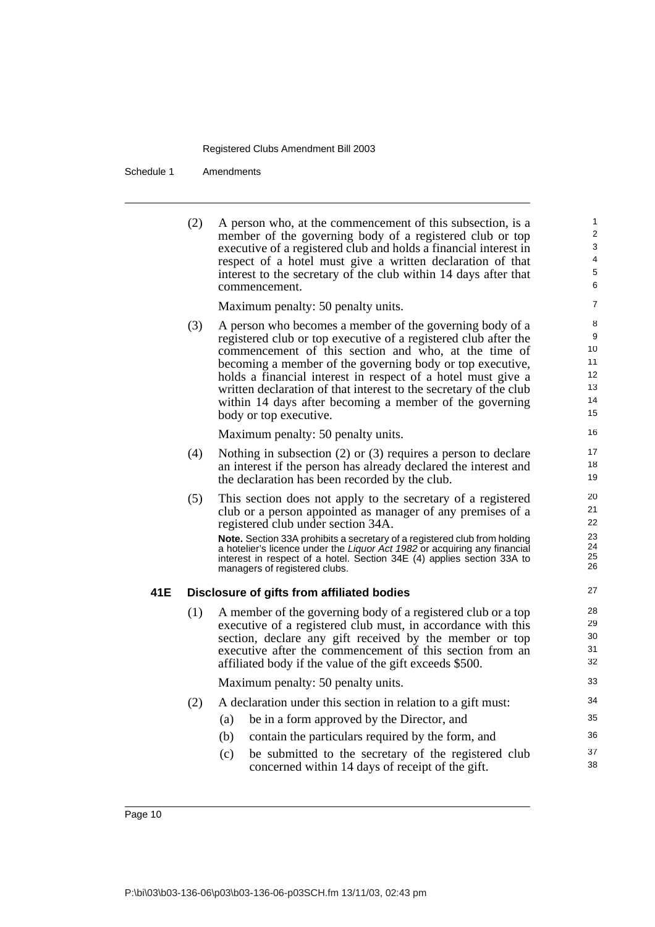Schedule 1 Amendments

| (2) | A person who, at the commencement of this subsection, is a       |
|-----|------------------------------------------------------------------|
|     | member of the governing body of a registered club or top         |
|     | executive of a registered club and holds a financial interest in |
|     | respect of a hotel must give a written declaration of that       |
|     | interest to the secretary of the club within 14 days after that  |
|     | commencement.                                                    |

Maximum penalty: 50 penalty units.

(3) A person who becomes a member of the governing body of a registered club or top executive of a registered club after the commencement of this section and who, at the time of becoming a member of the governing body or top executive, holds a financial interest in respect of a hotel must give a written declaration of that interest to the secretary of the club within 14 days after becoming a member of the governing body or top executive.

Maximum penalty: 50 penalty units.

- (4) Nothing in subsection (2) or (3) requires a person to declare an interest if the person has already declared the interest and the declaration has been recorded by the club.
- (5) This section does not apply to the secretary of a registered club or a person appointed as manager of any premises of a registered club under section 34A.

**Note.** Section 33A prohibits a secretary of a registered club from holding a hotelier's licence under the Liquor Act 1982 or acquiring any financial interest in respect of a hotel. Section 34E (4) applies section 33A to managers of registered clubs.

#### **41E Disclosure of gifts from affiliated bodies**

(1) A member of the governing body of a registered club or a top executive of a registered club must, in accordance with this section, declare any gift received by the member or top executive after the commencement of this section from an affiliated body if the value of the gift exceeds \$500.

Maximum penalty: 50 penalty units.

- (2) A declaration under this section in relation to a gift must:
	- (a) be in a form approved by the Director, and
	- (b) contain the particulars required by the form, and
	- (c) be submitted to the secretary of the registered club concerned within 14 days of receipt of the gift.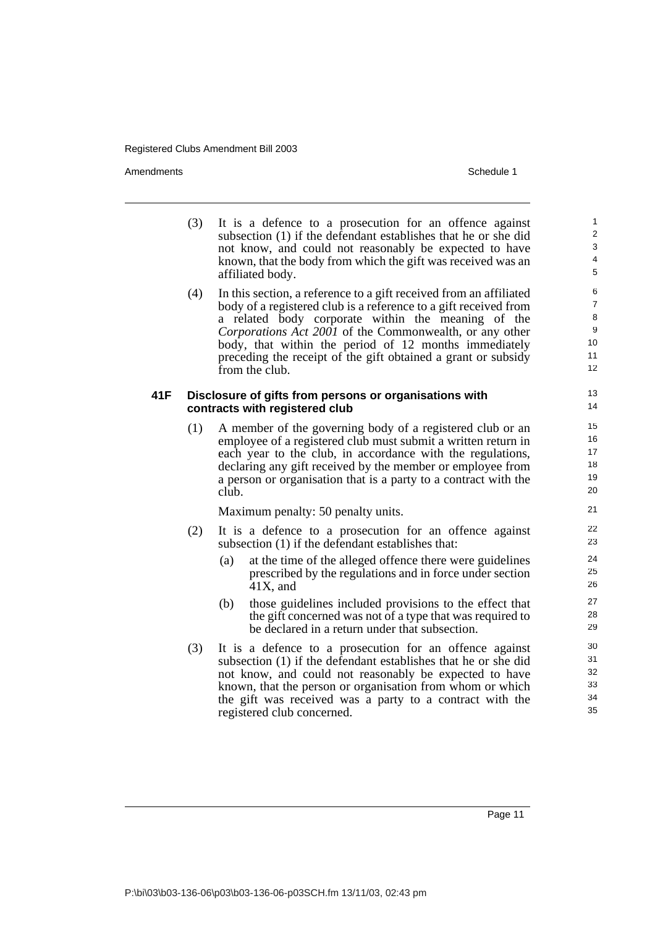Amendments **Amendments** Schedule 1

- (3) It is a defence to a prosecution for an offence against subsection (1) if the defendant establishes that he or she did not know, and could not reasonably be expected to have known, that the body from which the gift was received was an affiliated body.
- (4) In this section, a reference to a gift received from an affiliated body of a registered club is a reference to a gift received from a related body corporate within the meaning of the *Corporations Act 2001* of the Commonwealth, or any other body, that within the period of 12 months immediately preceding the receipt of the gift obtained a grant or subsidy from the club.

#### **41F Disclosure of gifts from persons or organisations with contracts with registered club**

(1) A member of the governing body of a registered club or an employee of a registered club must submit a written return in each year to the club, in accordance with the regulations, declaring any gift received by the member or employee from a person or organisation that is a party to a contract with the club.

Maximum penalty: 50 penalty units.

- (2) It is a defence to a prosecution for an offence against subsection (1) if the defendant establishes that:
	- (a) at the time of the alleged offence there were guidelines prescribed by the regulations and in force under section 41X, and
	- (b) those guidelines included provisions to the effect that the gift concerned was not of a type that was required to be declared in a return under that subsection.
- (3) It is a defence to a prosecution for an offence against subsection (1) if the defendant establishes that he or she did not know, and could not reasonably be expected to have known, that the person or organisation from whom or which the gift was received was a party to a contract with the registered club concerned.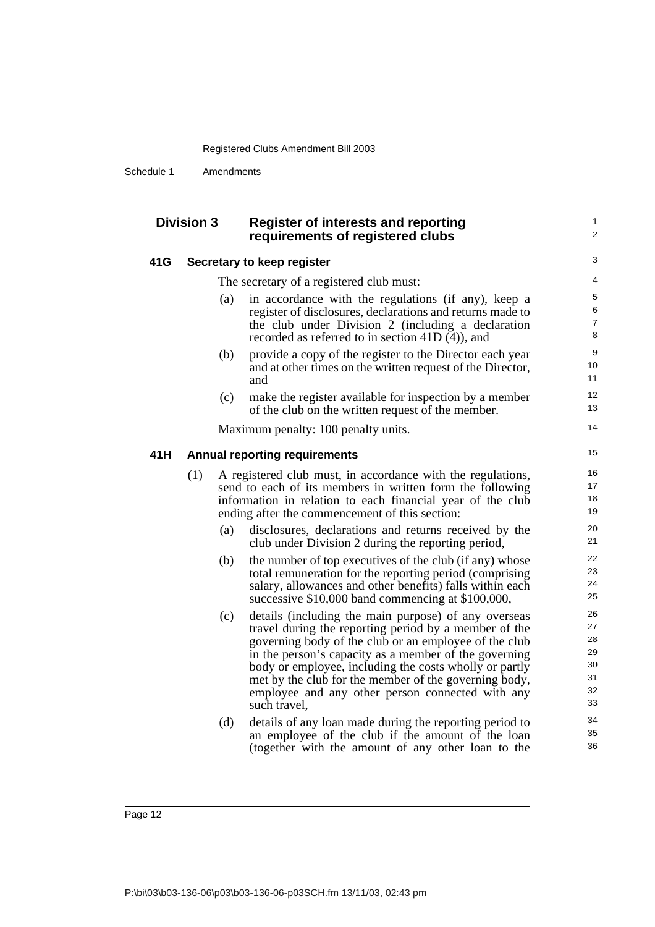Schedule 1 Amendments

| <b>Division 3</b> | <b>Register of interests and reporting</b> |
|-------------------|--------------------------------------------|
|                   | requirements of registered clubs           |

#### **41G Secretary to keep register**

The secretary of a registered club must:

(a) in accordance with the regulations (if any), keep a register of disclosures, declarations and returns made to the club under Division 2 (including a declaration recorded as referred to in section 41D (4)), and

1 2

- (b) provide a copy of the register to the Director each year and at other times on the written request of the Director, and
- (c) make the register available for inspection by a member of the club on the written request of the member.

Maximum penalty: 100 penalty units.

#### **41H Annual reporting requirements**

- (1) A registered club must, in accordance with the regulations, send to each of its members in written form the following information in relation to each financial year of the club ending after the commencement of this section:
	- (a) disclosures, declarations and returns received by the club under Division 2 during the reporting period,
	- (b) the number of top executives of the club (if any) whose total remuneration for the reporting period (comprising salary, allowances and other benefits) falls within each successive \$10,000 band commencing at \$100,000,
	- (c) details (including the main purpose) of any overseas travel during the reporting period by a member of the governing body of the club or an employee of the club in the person's capacity as a member of the governing body or employee, including the costs wholly or partly met by the club for the member of the governing body, employee and any other person connected with any such travel,
	- (d) details of any loan made during the reporting period to an employee of the club if the amount of the loan (together with the amount of any other loan to the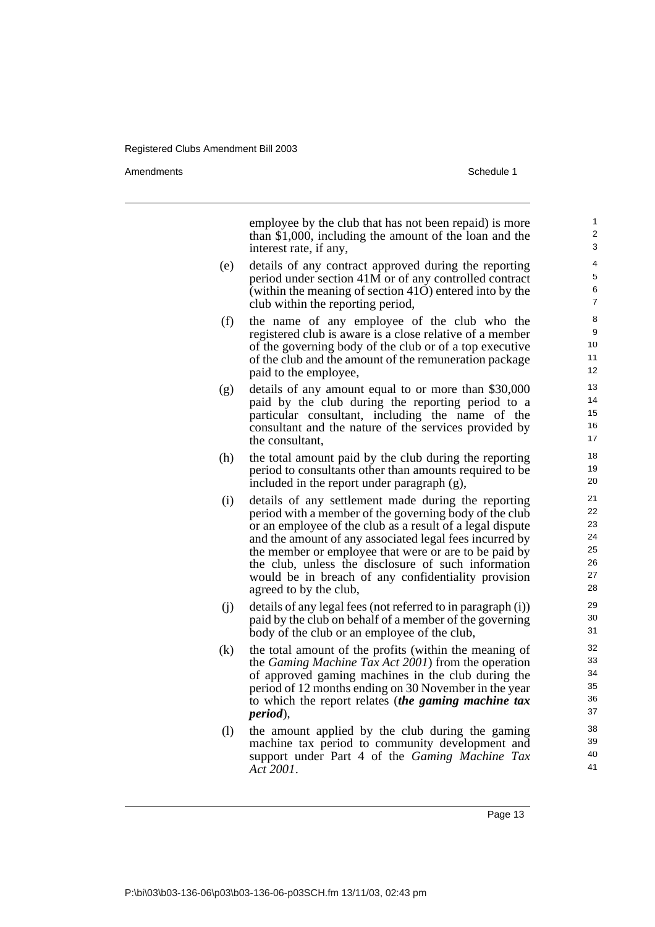Amendments **Amendments** Schedule 1

employee by the club that has not been repaid) is more than \$1,000, including the amount of the loan and the interest rate, if any,

- (e) details of any contract approved during the reporting period under section 41M or of any controlled contract (within the meaning of section 41O) entered into by the club within the reporting period,
- (f) the name of any employee of the club who the registered club is aware is a close relative of a member of the governing body of the club or of a top executive of the club and the amount of the remuneration package paid to the employee,
- (g) details of any amount equal to or more than \$30,000 paid by the club during the reporting period to a particular consultant, including the name of the consultant and the nature of the services provided by the consultant,
- (h) the total amount paid by the club during the reporting period to consultants other than amounts required to be included in the report under paragraph (g),
- (i) details of any settlement made during the reporting period with a member of the governing body of the club or an employee of the club as a result of a legal dispute and the amount of any associated legal fees incurred by the member or employee that were or are to be paid by the club, unless the disclosure of such information would be in breach of any confidentiality provision agreed to by the club,
- (j) details of any legal fees (not referred to in paragraph (i)) paid by the club on behalf of a member of the governing body of the club or an employee of the club,
- (k) the total amount of the profits (within the meaning of the *Gaming Machine Tax Act 2001*) from the operation of approved gaming machines in the club during the period of 12 months ending on 30 November in the year to which the report relates (*the gaming machine tax period*),
- (l) the amount applied by the club during the gaming machine tax period to community development and support under Part 4 of the *Gaming Machine Tax Act 2001*.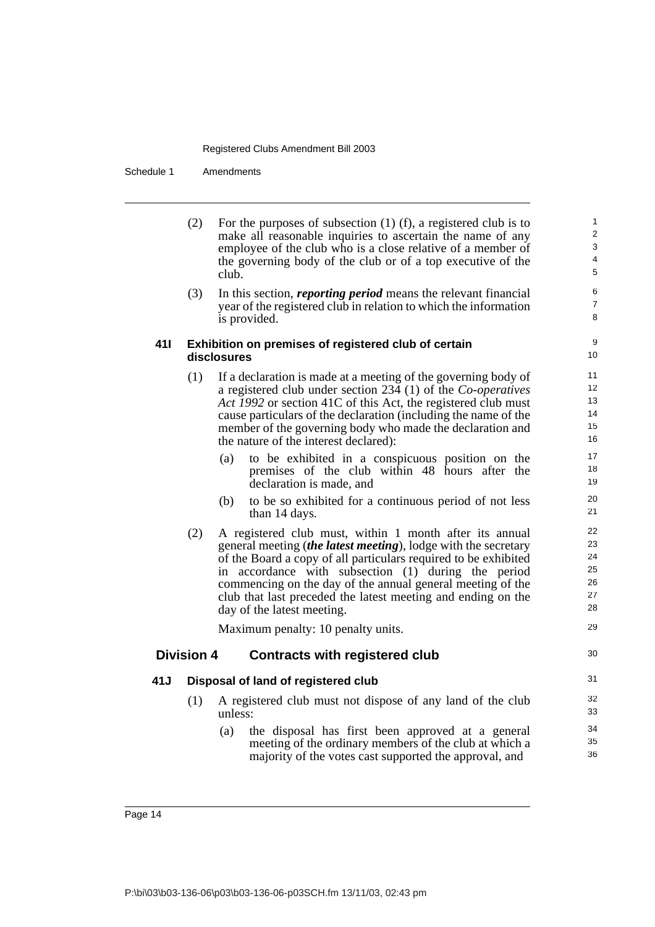Schedule 1 Amendments

- (2) For the purposes of subsection (1) (f), a registered club is to make all reasonable inquiries to ascertain the name of any employee of the club who is a close relative of a member of the governing body of the club or of a top executive of the club.
- (3) In this section, *reporting period* means the relevant financial year of the registered club in relation to which the information is provided.

#### **41I Exhibition on premises of registered club of certain disclosures**

- (1) If a declaration is made at a meeting of the governing body of a registered club under section 234 (1) of the *Co-operatives Act 1992* or section 41C of this Act, the registered club must cause particulars of the declaration (including the name of the member of the governing body who made the declaration and the nature of the interest declared):
	- (a) to be exhibited in a conspicuous position on the premises of the club within 48 hours after the declaration is made, and
	- (b) to be so exhibited for a continuous period of not less than 14 days.
- (2) A registered club must, within 1 month after its annual general meeting (*the latest meeting*), lodge with the secretary of the Board a copy of all particulars required to be exhibited in accordance with subsection (1) during the period commencing on the day of the annual general meeting of the club that last preceded the latest meeting and ending on the day of the latest meeting.

Maximum penalty: 10 penalty units.

## 29

30

## **Division 4 Contracts with registered club**

### **41J Disposal of land of registered club**

- (1) A registered club must not dispose of any land of the club unless:
	- (a) the disposal has first been approved at a general meeting of the ordinary members of the club at which a majority of the votes cast supported the approval, and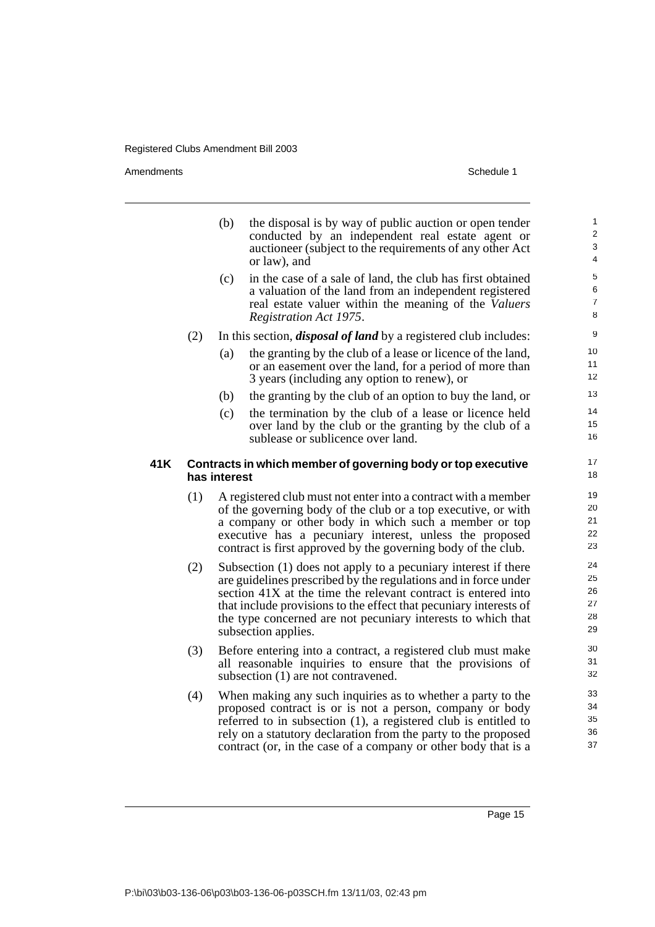Amendments Schedule 1

|      |     | (b)          | the disposal is by way of public auction or open tender<br>conducted by an independent real estate agent or<br>auctioneer (subject to the requirements of any other Act<br>or law), and                                                                                                                                                                        | 1<br>$\overline{\mathbf{c}}$<br>3<br>4 |
|------|-----|--------------|----------------------------------------------------------------------------------------------------------------------------------------------------------------------------------------------------------------------------------------------------------------------------------------------------------------------------------------------------------------|----------------------------------------|
|      |     | (c)          | in the case of a sale of land, the club has first obtained<br>a valuation of the land from an independent registered<br>real estate valuer within the meaning of the Valuers<br>Registration Act 1975.                                                                                                                                                         | 5<br>6<br>$\overline{7}$<br>8          |
|      | (2) |              | In this section, <i>disposal of land</i> by a registered club includes:                                                                                                                                                                                                                                                                                        | 9                                      |
|      |     | (a)          | the granting by the club of a lease or licence of the land,<br>or an easement over the land, for a period of more than<br>3 years (including any option to renew), or                                                                                                                                                                                          | 10<br>11<br>12                         |
|      |     | (b)          | the granting by the club of an option to buy the land, or                                                                                                                                                                                                                                                                                                      | 13                                     |
|      |     | (c)          | the termination by the club of a lease or licence held<br>over land by the club or the granting by the club of a<br>sublease or sublicence over land.                                                                                                                                                                                                          | 14<br>15<br>16                         |
| 41 K |     | has interest | Contracts in which member of governing body or top executive                                                                                                                                                                                                                                                                                                   | 17<br>18                               |
|      | (1) |              | A registered club must not enter into a contract with a member<br>of the governing body of the club or a top executive, or with<br>a company or other body in which such a member or top<br>executive has a pecuniary interest, unless the proposed<br>contract is first approved by the governing body of the club.                                           | 19<br>20<br>21<br>22<br>23             |
|      | (2) |              | Subsection (1) does not apply to a pecuniary interest if there<br>are guidelines prescribed by the regulations and in force under<br>section 41X at the time the relevant contract is entered into<br>that include provisions to the effect that pecuniary interests of<br>the type concerned are not pecuniary interests to which that<br>subsection applies. | 24<br>25<br>26<br>27<br>28<br>29       |
|      | (3) |              | Before entering into a contract, a registered club must make<br>all reasonable inquiries to ensure that the provisions of<br>subsection (1) are not contravened.                                                                                                                                                                                               | 30<br>31<br>32                         |
|      | (4) |              | When making any such inquiries as to whether a party to the<br>proposed contract is or is not a person, company or body<br>referred to in subsection (1), a registered club is entitled to<br>rely on a statutory declaration from the party to the proposed                                                                                                   | 33<br>34<br>35<br>36                   |

contract (or, in the case of a company or other body that is a

Page 15

37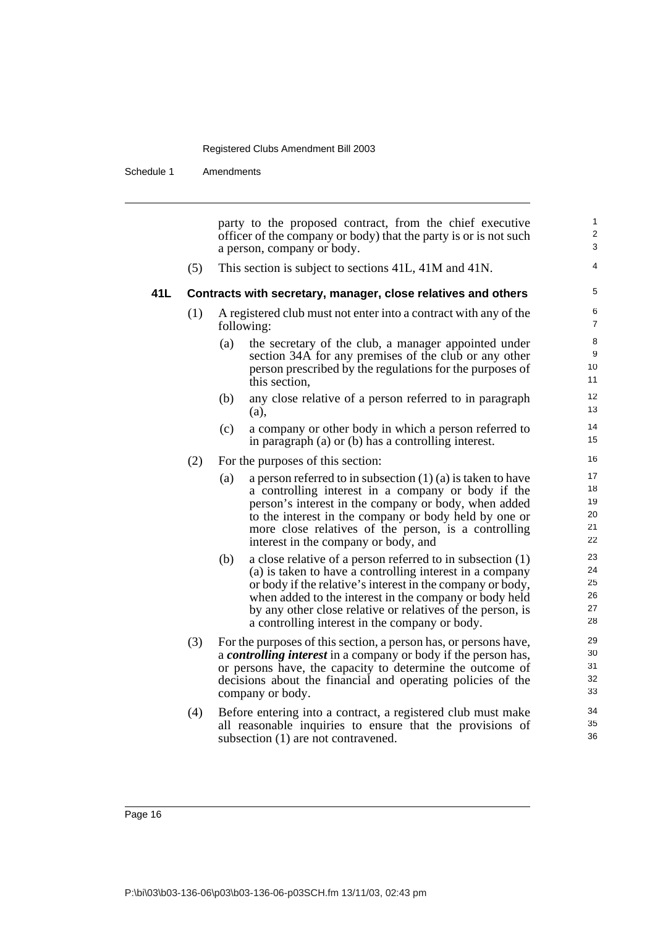Schedule 1 Amendments

party to the proposed contract, from the chief executive officer of the company or body) that the party is or is not such a person, company or body.

(5) This section is subject to sections 41L, 41M and 41N.

#### **41L Contracts with secretary, manager, close relatives and others**

- (1) A registered club must not enter into a contract with any of the following:
	- (a) the secretary of the club, a manager appointed under section 34A for any premises of the club or any other person prescribed by the regulations for the purposes of this section,
	- (b) any close relative of a person referred to in paragraph (a),
	- (c) a company or other body in which a person referred to in paragraph (a) or (b) has a controlling interest.
- (2) For the purposes of this section:
	- (a) a person referred to in subsection  $(1)$  (a) is taken to have a controlling interest in a company or body if the person's interest in the company or body, when added to the interest in the company or body held by one or more close relatives of the person, is a controlling interest in the company or body, and
	- (b) a close relative of a person referred to in subsection (1) (a) is taken to have a controlling interest in a company or body if the relative's interest in the company or body, when added to the interest in the company or body held by any other close relative or relatives of the person, is a controlling interest in the company or body.
- (3) For the purposes of this section, a person has, or persons have, a *controlling interest* in a company or body if the person has, or persons have, the capacity to determine the outcome of decisions about the financial and operating policies of the company or body.
- (4) Before entering into a contract, a registered club must make all reasonable inquiries to ensure that the provisions of subsection (1) are not contravened.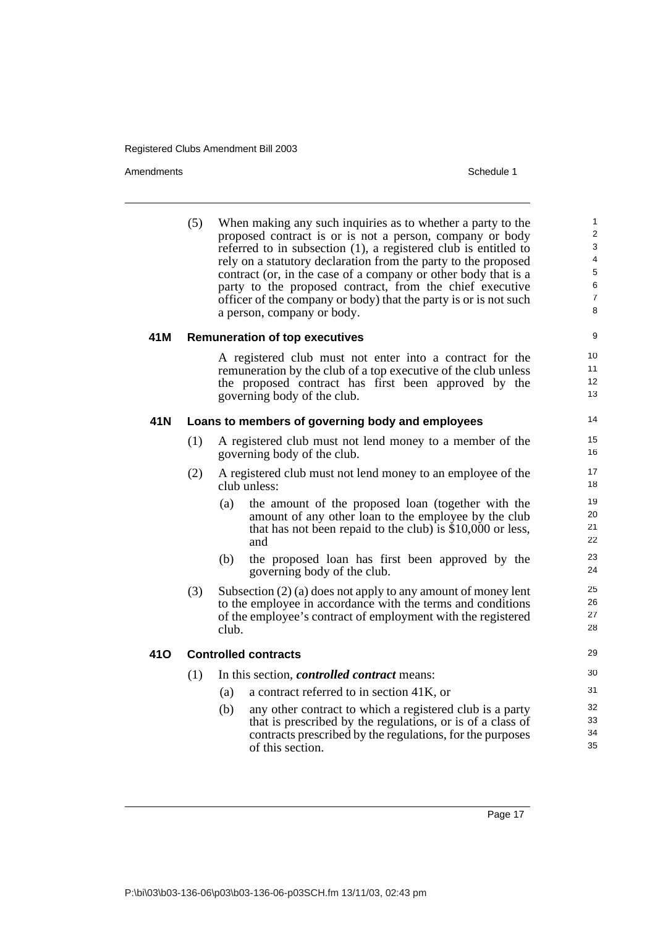Amendments Schedule 1

|      | (5) | a person, company or body.                         | When making any such inquiries as to whether a party to the<br>proposed contract is or is not a person, company or body<br>referred to in subsection (1), a registered club is entitled to<br>rely on a statutory declaration from the party to the proposed<br>contract (or, in the case of a company or other body that is a<br>party to the proposed contract, from the chief executive<br>officer of the company or body) that the party is or is not such | 1<br>2<br>3<br>$\overline{4}$<br>5<br>6<br>$\overline{7}$<br>8 |
|------|-----|----------------------------------------------------|----------------------------------------------------------------------------------------------------------------------------------------------------------------------------------------------------------------------------------------------------------------------------------------------------------------------------------------------------------------------------------------------------------------------------------------------------------------|----------------------------------------------------------------|
| 41 M |     | <b>Remuneration of top executives</b>              |                                                                                                                                                                                                                                                                                                                                                                                                                                                                | 9                                                              |
|      |     | governing body of the club.                        | A registered club must not enter into a contract for the<br>remuneration by the club of a top executive of the club unless<br>the proposed contract has first been approved by the                                                                                                                                                                                                                                                                             | 10<br>11<br>12<br>13                                           |
| 41N  |     | Loans to members of governing body and employees   |                                                                                                                                                                                                                                                                                                                                                                                                                                                                | 14                                                             |
|      | (1) | governing body of the club.                        | A registered club must not lend money to a member of the                                                                                                                                                                                                                                                                                                                                                                                                       | 15<br>16                                                       |
|      | (2) | club unless:                                       | A registered club must not lend money to an employee of the                                                                                                                                                                                                                                                                                                                                                                                                    | 17<br>18                                                       |
|      |     | (a)<br>and                                         | the amount of the proposed loan (together with the<br>amount of any other loan to the employee by the club<br>that has not been repaid to the club) is \$10,000 or less,                                                                                                                                                                                                                                                                                       | 19<br>20<br>21<br>22                                           |
|      |     | (b)<br>governing body of the club.                 | the proposed loan has first been approved by the                                                                                                                                                                                                                                                                                                                                                                                                               | 23<br>24                                                       |
|      | (3) | club.                                              | Subsection (2) (a) does not apply to any amount of money lent<br>to the employee in accordance with the terms and conditions<br>of the employee's contract of employment with the registered                                                                                                                                                                                                                                                                   | 25<br>26<br>27<br>28                                           |
| 41O  |     | <b>Controlled contracts</b>                        |                                                                                                                                                                                                                                                                                                                                                                                                                                                                | 29                                                             |
|      | (1) | In this section, <i>controlled contract</i> means: |                                                                                                                                                                                                                                                                                                                                                                                                                                                                | 30                                                             |
|      |     | (a)<br>a contract referred to in section 41K, or   |                                                                                                                                                                                                                                                                                                                                                                                                                                                                | 31                                                             |
|      |     | (b)                                                | any other contract to which a registered club is a party                                                                                                                                                                                                                                                                                                                                                                                                       | 32                                                             |
|      |     | of this section.                                   | that is prescribed by the regulations, or is of a class of<br>contracts prescribed by the regulations, for the purposes                                                                                                                                                                                                                                                                                                                                        | 33<br>34<br>35                                                 |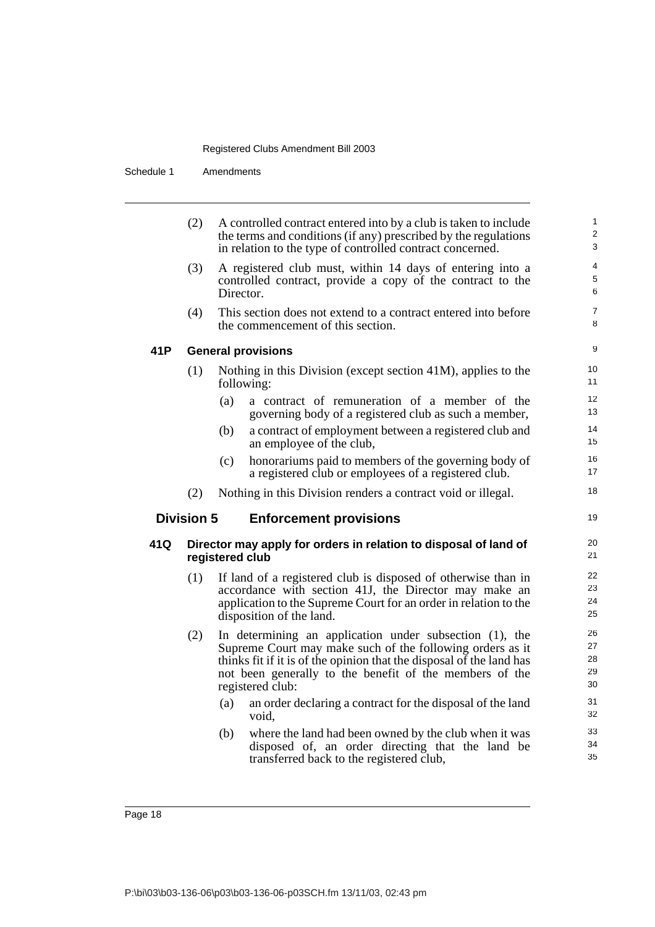Schedule 1 Amendments

|      | (2)                                                                                 | A controlled contract entered into by a club is taken to include<br>the terms and conditions (if any) prescribed by the regulations<br>in relation to the type of controlled contract concerned.                                                                            |                            |  |  |
|------|-------------------------------------------------------------------------------------|-----------------------------------------------------------------------------------------------------------------------------------------------------------------------------------------------------------------------------------------------------------------------------|----------------------------|--|--|
|      | (3)                                                                                 | A registered club must, within 14 days of entering into a<br>controlled contract, provide a copy of the contract to the<br>Director.                                                                                                                                        | 4<br>5<br>6                |  |  |
|      | (4)                                                                                 | This section does not extend to a contract entered into before<br>the commencement of this section.                                                                                                                                                                         | $\overline{7}$<br>8        |  |  |
| 41 P | <b>General provisions</b>                                                           |                                                                                                                                                                                                                                                                             |                            |  |  |
|      | (1)                                                                                 | Nothing in this Division (except section 41M), applies to the<br>following:                                                                                                                                                                                                 |                            |  |  |
|      |                                                                                     | a contract of remuneration of a member of the<br>(a)<br>governing body of a registered club as such a member,                                                                                                                                                               | 12<br>13                   |  |  |
|      |                                                                                     | (b)<br>a contract of employment between a registered club and<br>an employee of the club,                                                                                                                                                                                   | 14<br>15                   |  |  |
|      |                                                                                     | (c)<br>honorariums paid to members of the governing body of<br>a registered club or employees of a registered club.                                                                                                                                                         | 16<br>17                   |  |  |
|      | (2)                                                                                 | Nothing in this Division renders a contract void or illegal.                                                                                                                                                                                                                | 18                         |  |  |
|      | <b>Division 5</b>                                                                   | <b>Enforcement provisions</b>                                                                                                                                                                                                                                               | 19                         |  |  |
| 41Q  | Director may apply for orders in relation to disposal of land of<br>registered club | 20<br>21                                                                                                                                                                                                                                                                    |                            |  |  |
|      | (1)                                                                                 | If land of a registered club is disposed of otherwise than in<br>accordance with section 41J, the Director may make an<br>application to the Supreme Court for an order in relation to the<br>disposition of the land.                                                      | 22<br>23<br>24<br>25       |  |  |
|      | (2)                                                                                 | In determining an application under subsection (1), the<br>Supreme Court may make such of the following orders as it<br>thinks fit if it is of the opinion that the disposal of the land has<br>not been generally to the benefit of the members of the<br>registered club: | 26<br>27<br>28<br>29<br>30 |  |  |
|      |                                                                                     | (a)<br>an order declaring a contract for the disposal of the land<br>void,                                                                                                                                                                                                  | 31<br>32                   |  |  |
|      |                                                                                     | where the land had been owned by the club when it was<br>(b)<br>disposed of, an order directing that the land be<br>transferred back to the registered club,                                                                                                                | 33<br>34<br>35             |  |  |
|      |                                                                                     |                                                                                                                                                                                                                                                                             |                            |  |  |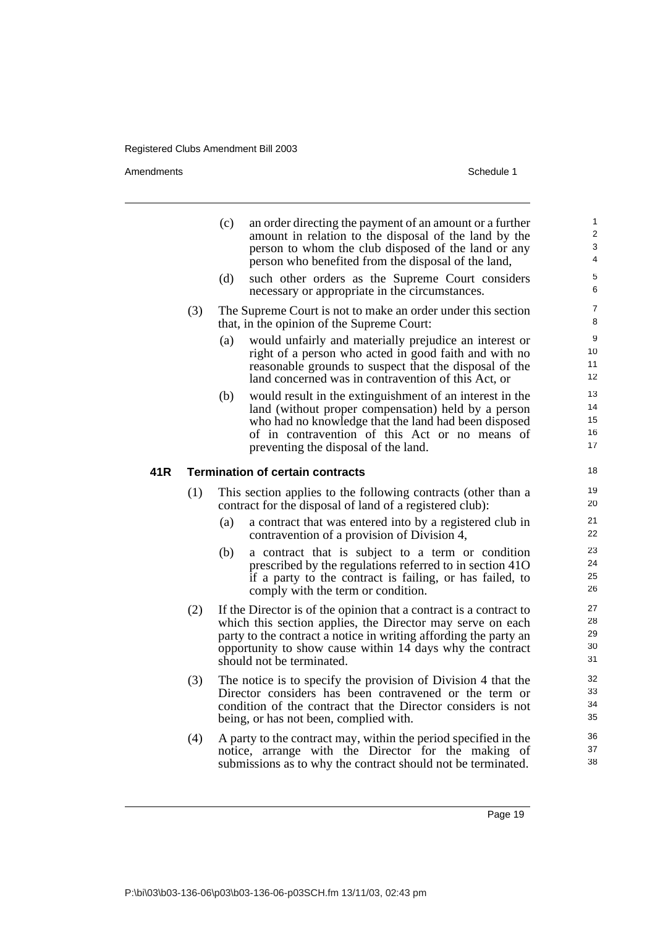Amendments Schedule 1

|      |     | (c)                                                                                                                                                                                                                                                                                            | an order directing the payment of an amount or a further<br>amount in relation to the disposal of the land by the<br>person to whom the club disposed of the land or any<br>person who benefited from the disposal of the land,                                   | 1<br>$\overline{2}$<br>3<br>$\overline{\mathbf{4}}$ |  |  |
|------|-----|------------------------------------------------------------------------------------------------------------------------------------------------------------------------------------------------------------------------------------------------------------------------------------------------|-------------------------------------------------------------------------------------------------------------------------------------------------------------------------------------------------------------------------------------------------------------------|-----------------------------------------------------|--|--|
|      |     | (d)                                                                                                                                                                                                                                                                                            | such other orders as the Supreme Court considers<br>necessary or appropriate in the circumstances.                                                                                                                                                                | $\mathbf 5$<br>6                                    |  |  |
|      | (3) |                                                                                                                                                                                                                                                                                                | The Supreme Court is not to make an order under this section<br>that, in the opinion of the Supreme Court:                                                                                                                                                        | 7<br>8                                              |  |  |
|      |     | (a)                                                                                                                                                                                                                                                                                            | would unfairly and materially prejudice an interest or<br>right of a person who acted in good faith and with no<br>reasonable grounds to suspect that the disposal of the<br>land concerned was in contravention of this Act, or                                  | 9<br>10<br>11<br>12                                 |  |  |
|      |     | (b)                                                                                                                                                                                                                                                                                            | would result in the extinguishment of an interest in the<br>land (without proper compensation) held by a person<br>who had no knowledge that the land had been disposed<br>of in contravention of this Act or no means of<br>preventing the disposal of the land. | 13<br>14<br>15<br>16<br>17                          |  |  |
| 41 R |     |                                                                                                                                                                                                                                                                                                | <b>Termination of certain contracts</b>                                                                                                                                                                                                                           | 18                                                  |  |  |
|      | (1) | This section applies to the following contracts (other than a<br>contract for the disposal of land of a registered club):                                                                                                                                                                      |                                                                                                                                                                                                                                                                   |                                                     |  |  |
|      |     | (a)                                                                                                                                                                                                                                                                                            | a contract that was entered into by a registered club in<br>contravention of a provision of Division 4,                                                                                                                                                           | 21<br>22                                            |  |  |
|      |     | (b)                                                                                                                                                                                                                                                                                            | a contract that is subject to a term or condition<br>prescribed by the regulations referred to in section 41O<br>if a party to the contract is failing, or has failed, to<br>comply with the term or condition.                                                   | 23<br>24<br>25<br>26                                |  |  |
|      | (2) | If the Director is of the opinion that a contract is a contract to<br>which this section applies, the Director may serve on each<br>party to the contract a notice in writing affording the party an<br>opportunity to show cause within 14 days why the contract<br>should not be terminated. |                                                                                                                                                                                                                                                                   |                                                     |  |  |
|      | (3) | The notice is to specify the provision of Division 4 that the<br>Director considers has been contravened or the term or<br>condition of the contract that the Director considers is not<br>being, or has not been, complied with.                                                              |                                                                                                                                                                                                                                                                   |                                                     |  |  |
|      | (4) |                                                                                                                                                                                                                                                                                                | A party to the contract may, within the period specified in the<br>notice, arrange with the Director for the making of<br>submissions as to why the contract should not be terminated.                                                                            | 36<br>37<br>38                                      |  |  |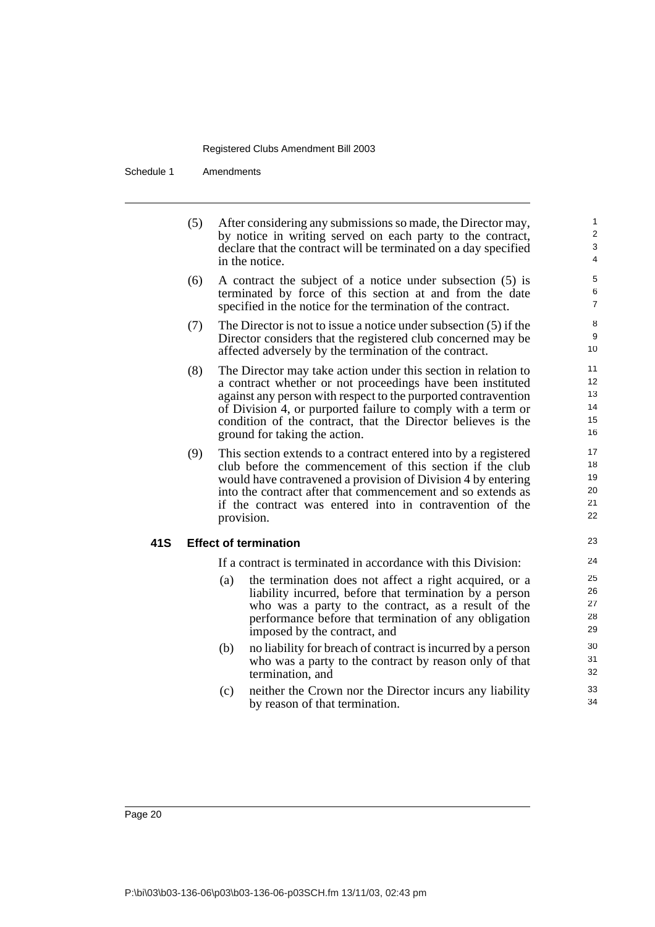Schedule 1 Amendments

(5) After considering any submissions so made, the Director may, by notice in writing served on each party to the contract, declare that the contract will be terminated on a day specified in the notice.

- (6) A contract the subject of a notice under subsection (5) is terminated by force of this section at and from the date specified in the notice for the termination of the contract.
- (7) The Director is not to issue a notice under subsection (5) if the Director considers that the registered club concerned may be affected adversely by the termination of the contract.
- (8) The Director may take action under this section in relation to a contract whether or not proceedings have been instituted against any person with respect to the purported contravention of Division 4, or purported failure to comply with a term or condition of the contract, that the Director believes is the ground for taking the action.
- (9) This section extends to a contract entered into by a registered club before the commencement of this section if the club would have contravened a provision of Division 4 by entering into the contract after that commencement and so extends as if the contract was entered into in contravention of the provision.

#### **41S Effect of termination**

If a contract is terminated in accordance with this Division:

- (a) the termination does not affect a right acquired, or a liability incurred, before that termination by a person who was a party to the contract, as a result of the performance before that termination of any obligation imposed by the contract, and
- (b) no liability for breach of contract is incurred by a person who was a party to the contract by reason only of that termination, and
- (c) neither the Crown nor the Director incurs any liability by reason of that termination.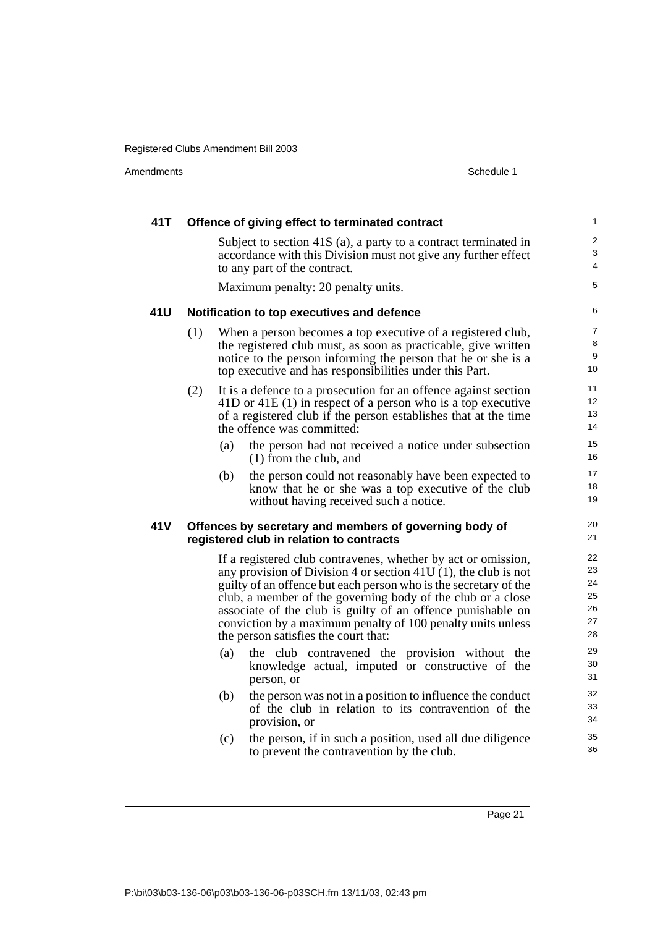Amendments Schedule 1

| 41 T            |                                            | Offence of giving effect to terminated contract                                                                                                                                                                                                                                                                                                                                                                                             | 1                                      |  |  |  |
|-----------------|--------------------------------------------|---------------------------------------------------------------------------------------------------------------------------------------------------------------------------------------------------------------------------------------------------------------------------------------------------------------------------------------------------------------------------------------------------------------------------------------------|----------------------------------------|--|--|--|
|                 |                                            | Subject to section 41S (a), a party to a contract terminated in<br>accordance with this Division must not give any further effect<br>to any part of the contract.                                                                                                                                                                                                                                                                           | $\overline{\mathbf{c}}$<br>3<br>4      |  |  |  |
|                 |                                            | Maximum penalty: 20 penalty units.                                                                                                                                                                                                                                                                                                                                                                                                          | 5                                      |  |  |  |
| 41U             | Notification to top executives and defence |                                                                                                                                                                                                                                                                                                                                                                                                                                             |                                        |  |  |  |
|                 | (1)                                        | When a person becomes a top executive of a registered club,<br>the registered club must, as soon as practicable, give written<br>notice to the person informing the person that he or she is a<br>top executive and has responsibilities under this Part.                                                                                                                                                                                   | 7<br>8<br>9<br>10                      |  |  |  |
|                 | (2)                                        | It is a defence to a prosecution for an offence against section<br>$41D$ or $41E(1)$ in respect of a person who is a top executive<br>of a registered club if the person establishes that at the time<br>the offence was committed:                                                                                                                                                                                                         | 11<br>12<br>13<br>14                   |  |  |  |
|                 |                                            | the person had not received a notice under subsection<br>(a)<br>(1) from the club, and                                                                                                                                                                                                                                                                                                                                                      | 15<br>16                               |  |  |  |
|                 |                                            | (b)<br>the person could not reasonably have been expected to<br>know that he or she was a top executive of the club<br>without having received such a notice.                                                                                                                                                                                                                                                                               | 17<br>18<br>19                         |  |  |  |
| 41 <sub>V</sub> |                                            | Offences by secretary and members of governing body of<br>registered club in relation to contracts                                                                                                                                                                                                                                                                                                                                          | 20<br>21                               |  |  |  |
|                 |                                            | If a registered club contravenes, whether by act or omission,<br>any provision of Division 4 or section $41U(1)$ , the club is not<br>guilty of an offence but each person who is the secretary of the<br>club, a member of the governing body of the club or a close<br>associate of the club is guilty of an offence punishable on<br>conviction by a maximum penalty of 100 penalty units unless<br>the person satisfies the court that: | 22<br>23<br>24<br>25<br>26<br>27<br>28 |  |  |  |
|                 |                                            | the club contravened the provision without the<br>(a)<br>knowledge actual, imputed or constructive of the<br>person, or                                                                                                                                                                                                                                                                                                                     | 29<br>30<br>31                         |  |  |  |
|                 |                                            | (b)<br>the person was not in a position to influence the conduct<br>of the club in relation to its contravention of the<br>provision, or                                                                                                                                                                                                                                                                                                    | 32<br>33<br>34                         |  |  |  |
|                 |                                            | (c)<br>the person, if in such a position, used all due diligence<br>to prevent the contravention by the club.                                                                                                                                                                                                                                                                                                                               | 35<br>36                               |  |  |  |